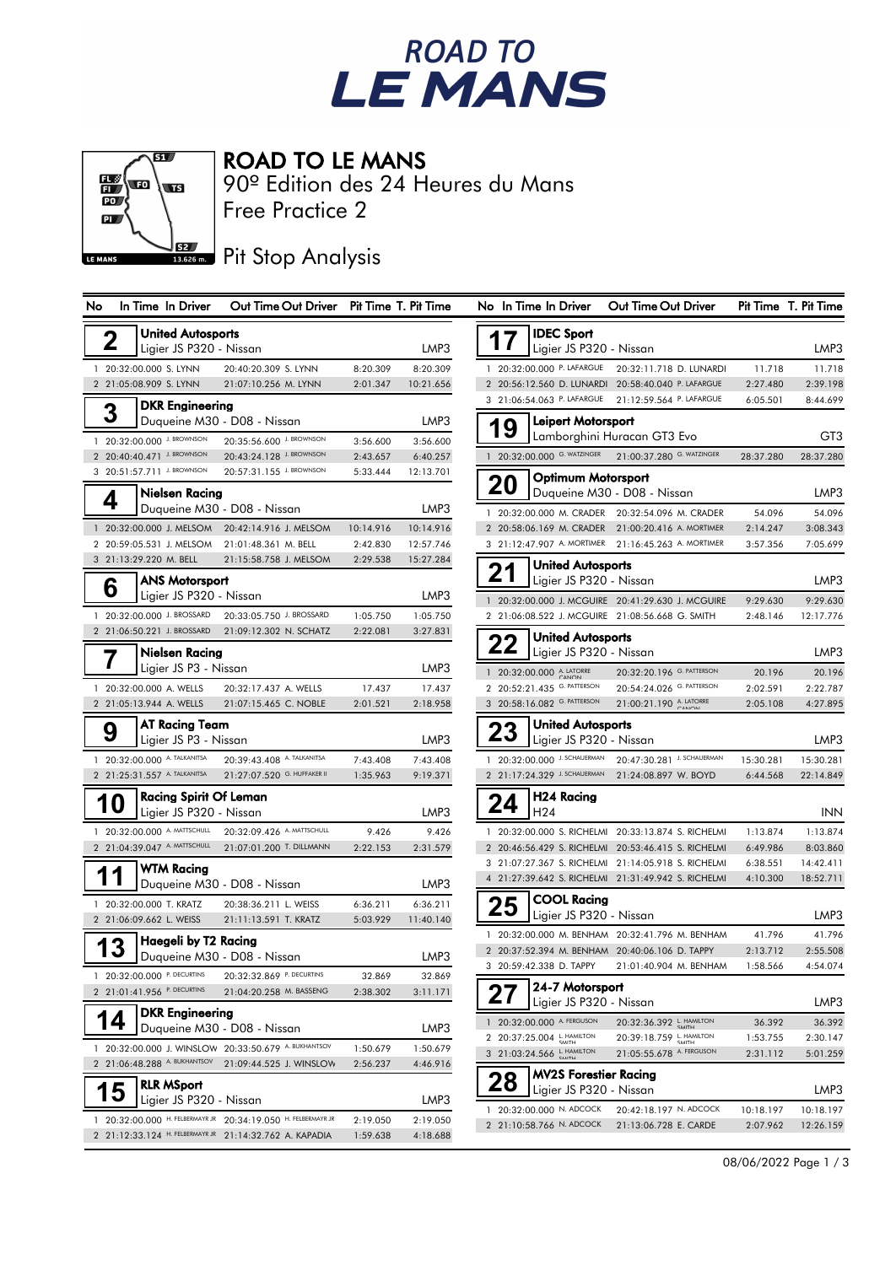



ROAD TO LE MANS

Free Practice 2 90º Edition des 24 Heures du Mans

# **JEZ Pit Stop Analysis**

| No                      | In Time In Driver                                            | Out Time Out Driver Pit Time T. Pit Time                      |                      |                      |           | No In Time In Driver                                         | Out Time Out Driver                                                                                        |                       | Pit Time T. Pit Time   |
|-------------------------|--------------------------------------------------------------|---------------------------------------------------------------|----------------------|----------------------|-----------|--------------------------------------------------------------|------------------------------------------------------------------------------------------------------------|-----------------------|------------------------|
| $\overline{\mathbf{2}}$ | <b>United Autosports</b>                                     |                                                               |                      |                      | 17        | <b>IDEC Sport</b>                                            |                                                                                                            |                       |                        |
|                         | Ligier JS P320 - Nissan                                      |                                                               |                      | LMP3                 |           | Ligier JS P320 - Nissan                                      |                                                                                                            |                       | LMP3                   |
|                         | 1 20:32:00.000 S. LYNN                                       | 20:40:20.309 S. LYNN                                          | 8:20.309             | 8:20.309             |           | 1 20:32:00.000 P. LAFARGUE                                   | 20:32:11.718 D. LUNARDI                                                                                    | 11.718                | 11.718                 |
|                         | 2 21:05:08.909 S. LYNN                                       | 21:07:10.256 M. LYNN                                          | 2:01.347             | 10:21.656            |           |                                                              | 2 20:56:12.560 D. LUNARDI 20:58:40.040 P. LAFARGUE                                                         | 2:27.480              | 2:39.198               |
|                         | <b>DKR Engineering</b>                                       |                                                               |                      |                      |           | 3 21:06:54.063 P. LAFARGUE                                   | 21:12:59.564 P. LAFARGUE                                                                                   | 6:05.501              | 8:44.699               |
| 3                       |                                                              | Duqueine M30 - D08 - Nissan                                   |                      | LMP3                 | 19        | Leipert Motorsport                                           |                                                                                                            |                       |                        |
|                         | 1 20:32:00.000 J. BROWNSON                                   | 20:35:56.600 J. BROWNSON                                      | 3:56.600             | 3:56.600             |           |                                                              | Lamborghini Huracan GT3 Evo                                                                                |                       | GT3                    |
|                         | 2 20:40:40.471 J. BROWNSON                                   | 20:43:24.128 J. BROWNSON                                      | 2:43.657             | 6:40.257             |           | 1 20:32:00.000 G. WATZINGER                                  | 21:00:37.280 G. WATZINGER                                                                                  | 28:37.280             | 28:37.280              |
|                         | 3 20:51:57.711 J. BROWNSON                                   | 20:57:31.155 J. BROWNSON                                      | 5:33.444             | 12:13.701            |           | <b>Optimum Motorsport</b>                                    |                                                                                                            |                       |                        |
|                         | Nielsen Racina                                               |                                                               |                      |                      | <b>20</b> |                                                              | Duqueine M30 - D08 - Nissan                                                                                |                       | LMP3                   |
| 4                       |                                                              | Duqueine M30 - D08 - Nissan                                   |                      | LMP3                 |           |                                                              | 1 20:32:00.000 M. CRADER 20:32:54.096 M. CRADER                                                            | 54.096                | 54.096                 |
|                         |                                                              | 1 20:32:00.000 J. MELSOM 20:42:14.916 J. MELSOM               | 10:14.916            | 10:14.916            |           |                                                              | 2 20:58:06.169 M. CRADER 21:00:20.416 A. MORTIMER                                                          | 2:14.247              | 3:08.343               |
|                         | 2 20:59:05.531 J. MELSOM                                     | 21:01:48.361 M. BELL                                          | 2:42.830             | 12:57.746            |           | 3 21:12:47.907 A. MORTIMER                                   | 21:16:45.263 A. MORTIMER                                                                                   | 3:57.356              | 7:05.699               |
|                         | 3 21:13:29.220 M. BELL                                       | 21:15:58.758 J. MELSOM                                        | 2:29.538             | 15:27.284            |           | <b>United Autosports</b>                                     |                                                                                                            |                       |                        |
|                         | <b>ANS Motorsport</b>                                        |                                                               |                      |                      | 21        | Ligier JS P320 - Nissan                                      |                                                                                                            |                       | LMP3                   |
| 6                       | Ligier JS P320 - Nissan                                      |                                                               |                      | LMP3                 |           |                                                              | 1 20:32:00.000 J. MCGUIRE 20:41:29.630 J. MCGUIRE                                                          | 9:29.630              | 9:29.630               |
|                         | 1 20:32:00.000 J. BROSSARD                                   | 20:33:05.750 J. BROSSARD                                      | 1:05.750             | 1:05.750             |           |                                                              | 2 21:06:08.522 J. MCGUIRE 21:08:56.668 G. SMITH                                                            | 2:48.146              | 12:17.776              |
|                         | 2 21:06:50.221 J. BROSSARD                                   | 21:09:12.302 N. SCHATZ                                        | 2:22.081             | 3:27.831             |           |                                                              |                                                                                                            |                       |                        |
|                         | Nielsen Racing                                               |                                                               |                      |                      | 22        | <b>United Autosports</b><br>Ligier JS P320 - Nissan          |                                                                                                            |                       | LMP3                   |
|                         | Ligier JS P3 - Nissan                                        |                                                               |                      | LMP3                 |           |                                                              |                                                                                                            |                       |                        |
|                         | 1 20:32:00.000 A. WELLS                                      | 20:32:17.437 A. WELLS                                         | 17.437               | 17.437               |           | 1 20:32:00.000 A. LATORRE<br>2 20:52:21.435 G. PATTERSON     | 20:32:20.196 G. PATTERSON<br>20:54:24.026 G. PATTERSON                                                     | 20.196<br>2:02.591    | 20.196<br>2:22.787     |
|                         | 2 21:05:13.944 A. WELLS                                      | 21:07:15.465 C. NOBLE                                         | 2:01.521             | 2:18.958             |           | 3 20:58:16.082 G. PATTERSON                                  | 21:00:21.190 A. LATORRE                                                                                    | 2:05.108              | 4:27.895               |
|                         |                                                              |                                                               |                      |                      |           |                                                              |                                                                                                            |                       |                        |
| 9                       | AT Racina Team<br>Ligier JS P3 - Nissan                      |                                                               |                      | LMP3                 | 23        | <b>United Autosports</b><br>Ligier JS P320 - Nissan          |                                                                                                            |                       | LMP3                   |
|                         |                                                              |                                                               |                      |                      |           |                                                              |                                                                                                            |                       |                        |
|                         | 1 20:32:00.000 A. TALKANITSA<br>2 21:25:31.557 A. TALKANITSA | 20:39:43.408 A. TALKANITSA<br>21:27:07.520 G. HUFFAKER II     | 7:43.408<br>1:35.963 | 7:43.408<br>9:19.371 |           | 1 20:32:00.000 J. SCHAUERMAN<br>2 21:17:24.329 J. SCHAUERMAN | 20:47:30.281 J. SCHAUERMAN<br>21:24:08.897 W. BOYD                                                         | 15:30.281<br>6:44.568 | 15:30.281<br>22:14.849 |
|                         |                                                              |                                                               |                      |                      |           |                                                              |                                                                                                            |                       |                        |
|                         | <b>Racing Spirit Of Leman</b><br>10                          |                                                               |                      |                      | 24        | H24 Racing                                                   |                                                                                                            |                       |                        |
|                         | Ligier JS P320 - Nissan                                      |                                                               |                      | LMP3                 |           | H <sub>24</sub>                                              |                                                                                                            |                       | INN                    |
|                         | 1 20:32:00.000 A. MATTSCHULL                                 | 20:32:09.426 A. MATTSCHULL                                    | 9.426                | 9.426                |           |                                                              | 1 20:32:00.000 S. RICHELMI 20:33:13.874 S. RICHELMI                                                        | 1:13.874              | 1:13.874               |
|                         | 2 21:04:39.047 A. MATTSCHULL                                 | 21:07:01.200 T. DILLMANN                                      | 2:22.153             | 2:31.579             |           |                                                              | 2 20:46:56.429 S. RICHELMI 20:53:46.415 S. RICHELMI                                                        | 6:49.986              | 8:03.860               |
| 11                      | <b>WTM Racing</b>                                            |                                                               |                      |                      |           |                                                              | 3 21:07:27.367 S. RICHELMI 21:14:05.918 S. RICHELMI<br>4 21:27:39.642 S. RICHELMI 21:31:49.942 S. RICHELMI | 6:38.551<br>4:10.300  | 14:42.411<br>18:52.711 |
|                         |                                                              | Duqueine M30 - D08 - Nissan                                   |                      | LMP3                 |           |                                                              |                                                                                                            |                       |                        |
|                         | 1 20:32:00.000 T. KRATZ                                      | 20:38:36.211 L. WEISS                                         | 6:36.211             | 6:36.211             | 25        | <b>COOL Racing</b>                                           |                                                                                                            |                       |                        |
|                         | 2 21:06:09.662 L. WEISS                                      | 21:11:13.591 T. KRATZ                                         | 5:03.929             | 11:40.140            |           | Ligier JS P320 - Nissan                                      |                                                                                                            |                       | LMP3                   |
|                         | Haegeli by T2 Racing<br>13                                   |                                                               |                      |                      |           |                                                              | 1 20:32:00.000 M. BENHAM 20:32:41.796 M. BENHAM                                                            | 41.796                | 41.796                 |
|                         |                                                              | Duqueine M30 - D08 - Nissan                                   |                      | LMP3                 |           | 3 20:59:42.338 D. TAPPY                                      | 2 20:37:52.394 M. BENHAM 20:40:06.106 D. TAPPY<br>21:01:40.904 M. BENHAM                                   | 2:13.712<br>1:58.566  | 2:55.508<br>4:54.074   |
|                         |                                                              | 1 20:32:00.000 P. DECURTINS 20:32:32.869 P. DECURTINS         | 32.869               | 32.869               |           |                                                              |                                                                                                            |                       |                        |
|                         | 2 21:01:41.956 P. DECURTINS                                  | 21:04:20.258 M. BASSENG                                       | 2:38.302             | 3:11.171             |           | 24-7 Motorsport                                              |                                                                                                            |                       |                        |
|                         | <b>DKR Engineering</b>                                       |                                                               |                      |                      |           | Ligier JS P320 - Nissan                                      |                                                                                                            |                       | LMP3                   |
|                         | 14                                                           | Duqueine M30 - D08 - Nissan                                   |                      | LMP3                 |           | 1 20:32:00.000 A. FERGUSON                                   | 20:32:36.392 L. HAMILTON                                                                                   | 36.392                | 36.392                 |
|                         |                                                              | 1 20:32:00.000 J. WINSLOW 20:33:50.679 A. BUKHANTSOV          | 1:50.679             | 1:50.679             |           | 2 20:37:25.004 L. HAMILTON                                   | 20:39:18.759 L. HAMILTON<br>21:05:55.678 A. FERGUSON                                                       | 1:53.755<br>2:31.112  | 2:30.147               |
|                         |                                                              | 2 21:06:48.288 A. BUKHANTSOV 21:09:44.525 J. WINSLOW          | 2:56.237             | 4:46.916             |           | 3 21:03:24.566 L. HAMILTON                                   |                                                                                                            |                       | 5:01.259               |
|                         | <b>RLR MSport</b>                                            |                                                               |                      |                      | 28        | <b>MV2S Forestier Racing</b>                                 |                                                                                                            |                       |                        |
|                         | 5<br>Ligier JS P320 - Nissan                                 |                                                               |                      | LMP3                 |           | Ligier JS P320 - Nissan                                      |                                                                                                            |                       | LMP3                   |
|                         |                                                              | 1 20:32:00.000 H. FELBERMAYR JR 20:34:19.050 H. FELBERMAYR JR | 2:19.050             | 2:19.050             |           | 1 20:32:00.000 N. ADCOCK                                     | 20:42:18.197 N. ADCOCK                                                                                     | 10:18.197             | 10:18.197              |
|                         |                                                              | 2 21:12:33.124 H. FELBERMAYR JR 21:14:32.762 A. KAPADIA       | 1:59.638             | 4:18.688             |           | 2 21:10:58.766 N. ADCOCK                                     | 21:13:06.728 E. CARDE                                                                                      | 2:07.962              | 12:26.159              |
|                         |                                                              |                                                               |                      |                      |           |                                                              |                                                                                                            |                       |                        |

| No             |     | In Time In Driver            | Out Time Out Driver        | Pit Time  | T. Pit Time |
|----------------|-----|------------------------------|----------------------------|-----------|-------------|
|                |     | <b>IDEC Sport</b>            |                            |           |             |
|                | 17  | Ligier JS P320 - Nissan      |                            |           | LMP3        |
| 1              |     | 20:32:00.000 P. LAFARGUE     | 20:32:11.718 D. LUNARDI    | 11.718    | 11.718      |
| $\overline{2}$ |     | 20:56:12.560 D. LUNARDI      | 20:58:40.040 P. LAFARGUE   | 2:27.480  | 2:39.198    |
| 3              |     | 21:06:54.063 P. LAFARGUE     | 21:12:59.564 P. LAFARGUE   | 6:05.501  | 8:44.699    |
|                |     | Leipert Motorsport           |                            |           |             |
|                | 19  | Lamborghini Huracan GT3 Evo  |                            |           | GT3         |
| 1              |     | 20:32:00.000 G. WATZINGER    | 21:00:37.280 G. WATZINGER  | 28:37.280 | 28:37.280   |
|                |     | <b>Optimum Motorsport</b>    |                            |           |             |
|                | 20  | Duqueine M30 - D08 - Nissan  |                            |           | LMP3        |
| 1              |     | 20:32:00.000 M. CRADER       | 20:32:54.096 M. CRADER     | 54.096    | 54.096      |
| $\overline{2}$ |     | 20:58:06.169 M. CRADER       | 21:00:20.416 A. MORTIMER   | 2:14.247  | 3:08.343    |
| 3              |     | 21:12:47.907 A. MORTIMER     | 21:16:45.263 A. MORTIMER   | 3:57.356  | 7:05.699    |
|                |     | <b>United Autosports</b>     |                            |           |             |
|                | 21  | Ligier JS P320 - Nissan      |                            |           | LMP3        |
| 1              |     | 20:32:00.000 J. MCGUIRE      | 20:41:29.630 J. MCGUIRE    | 9:29.630  | 9:29.630    |
| $\overline{2}$ |     | 21:06:08.522 J. MCGUIRE      | 21:08:56.668 G. SMITH      | 2:48.146  | 12:17.776   |
|                |     | <b>United Autosports</b>     |                            |           |             |
|                | 22  | Ligier JS P320 - Nissan      |                            |           | LMP3        |
| $\mathbf{1}$   |     | 20:32:00.000 A. LATORRE      | 20:32:20.196 G. PATTERSON  | 20.196    | 20.196      |
| $\overline{2}$ |     | 20:52:21.435 G. PATTERSON    | 20:54:24.026 G. PATTERSON  | 2:02.591  | 2:22.787    |
| 3              |     | 20:58:16.082 G. PATTERSON    | 21:00:21.190 A. LATORRE    | 2:05.108  | 4:27.895    |
|                |     | <b>United Autosports</b>     |                            |           |             |
|                | د.⁄ | Ligier JS P320 - Nissan      |                            |           | LMP3        |
| 1              |     | 20:32:00.000 J. SCHAUERMAN   | 20:47:30.281 J. SCHAUERMAN | 15:30.281 | 15:30.281   |
| $\overline{2}$ |     | 21:17:24.329 J. SCHAUERMAN   | 21:24:08.897 W. BOYD       | 6:44.568  | 22:14.849   |
|                |     | H24 Racing                   |                            |           |             |
|                | 24  | H24                          |                            |           | <b>INN</b>  |
| 1              |     | 20:32:00.000 S. RICHELMI     | 20:33:13.874 S. RICHELMI   | 1:13.874  | 1:13.874    |
| $\overline{2}$ |     | 20:46:56.429 S. RICHELMI     | 20:53:46.415 S. RICHELMI   | 6:49.986  | 8:03.860    |
| 3              |     | 21:07:27.367 S. RICHELMI     | 21:14:05.918 S. RICHELMI   | 6:38.551  | 14:42.411   |
| 4              |     | 21:27:39.642 S. RICHELMI     | 21:31:49.942 S. RICHELMI   | 4:10.300  | 18:52.711   |
|                |     | <b>COOL Racing</b>           |                            |           |             |
|                |     | Ligier JS P320 - Nissan      |                            |           | LMP3        |
| 1              |     | 20:32:00.000 M. BENHAM       | 20:32:41.796 M. BENHAM     | 41.796    | 41.796      |
| $\overline{2}$ |     | 20:37:52.394 M. BENHAM       | 20:40:06.106 D. TAPPY      | 2:13.712  | 2:55.508    |
| 3              |     | 20:59:42.338 D. TAPPY        | 21:01:40.904 M. BENHAM     | 1:58.566  | 4:54.074    |
|                |     | 24-7 Motorsport              |                            |           |             |
|                |     | Ligier JS P320 - Nissan      |                            |           | LMP3        |
| 1              |     | 20:32:00.000 A. FERGUSON     | 20:32:36.392 L. HAMILTON   | 36.392    | 36.392      |
| 2              |     | 20:37:25.004 L. HAMILTON     | 20:39:18.759 L. HAMILTON   | 1:53.755  | 2:30.147    |
| 3              |     | 21:03:24.566 L. HAMILTON     | 21:05:55.678 A. FERGUSON   | 2:31.112  | 5:01.259    |
|                |     | <b>MV2S Forestier Racing</b> |                            |           |             |
|                |     | Ligier JS P320 - Nissan      |                            |           | LMP3        |
| 1              |     | 20:32:00.000 N. ADCOCK       | 20:42:18.197 N. ADCOCK     | 10:18.197 | 10:18.197   |
|                |     | 21:10:58.766 N. ADCOCK       | 21:13:06.728 E. CARDE      | 2:07.962  | 12:26.159   |

08/06/2022 Page 1 / 3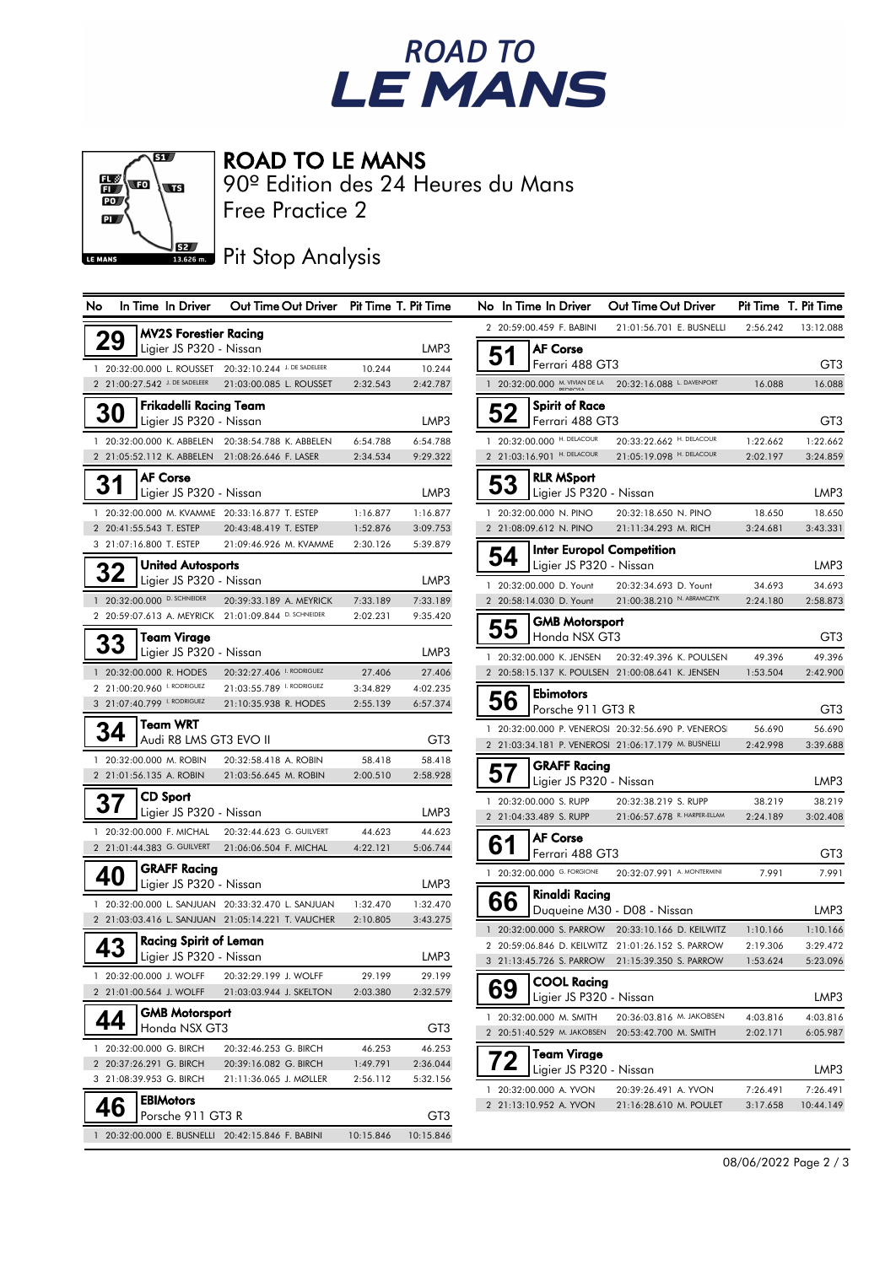



### ROAD TO LE MANS

Free Practice 2 90º Edition des 24 Heures du Mans

# **READER**<br>13.626 m. Pit Stop Analysis

| No        | In Time In Driver                                 | Out Time Out Driver Pit Time T. Pit Time              |           |           | No In Time In Driver           |                                                | Out Time Out Driver                                                                                  |                      | Pit Time T. Pit Time |
|-----------|---------------------------------------------------|-------------------------------------------------------|-----------|-----------|--------------------------------|------------------------------------------------|------------------------------------------------------------------------------------------------------|----------------------|----------------------|
|           | <b>MV2S Forestier Racing</b>                      |                                                       |           |           | 2 20:59:00.459 F. BABINI       |                                                | 21:01:56.701 E. BUSNELLI                                                                             | 2:56.242             | 13:12.088            |
| 29        | Ligier JS P320 - Nissan                           |                                                       |           | LMP3      | <b>AF Corse</b>                |                                                |                                                                                                      |                      |                      |
|           |                                                   | 1 20:32:00.000 L. ROUSSET 20:32:10.244 J. DE SADELEER | 10.244    | 10.244    | 51                             | Ferrari 488 GT3                                |                                                                                                      |                      | GT3                  |
|           | 2 21:00:27.542 J. DE SADELEER                     | 21:03:00.085 L. ROUSSET                               | 2:32.543  | 2:42.787  | 1 20:32:00.000 M. VIVIAN DE LA |                                                | 20:32:16.088 L. DAVENPORT                                                                            | 16.088               | 16.088               |
|           | <b>Frikadelli Racing Team</b>                     |                                                       |           |           |                                | <b>Spirit of Race</b>                          |                                                                                                      |                      |                      |
| <b>30</b> | Ligier JS P320 - Nissan                           |                                                       |           | LMP3      | 52                             | Ferrari 488 GT3                                |                                                                                                      |                      | GT3                  |
|           |                                                   | 1 20:32:00.000 K. ABBELEN 20:38:54.788 K. ABBELEN     | 6:54.788  | 6:54.788  | 1 20:32:00.000 H. DELACOUR     |                                                | 20:33:22.662 H. DELACOUR                                                                             | 1:22.662             | 1:22.662             |
|           | 2 21:05:52.112 K. ABBELEN 21:08:26.646 F. LASER   |                                                       | 2:34.534  | 9:29.322  | 2 21:03:16.901 H. DELACOUR     |                                                | 21:05:19.098 H. DELACOUR                                                                             | 2:02.197             | 3:24.859             |
|           | <b>AF Corse</b>                                   |                                                       |           |           |                                | <b>RLR MSport</b>                              |                                                                                                      |                      |                      |
| 31        | Ligier JS P320 - Nissan                           |                                                       |           | LMP3      | 53                             | Ligier JS P320 - Nissan                        |                                                                                                      |                      | LMP3                 |
|           | 1 20:32:00.000 M. KVAMME 20:33:16.877 T. ESTEP    |                                                       | 1:16.877  | 1:16.877  | 1 20:32:00.000 N. PINO         |                                                | 20:32:18.650 N. PINO                                                                                 | 18.650               | 18.650               |
|           | 2 20:41:55.543 T. ESTEP                           | 20:43:48.419 T. ESTEP                                 | 1:52.876  | 3:09.753  | 2 21:08:09.612 N. PINO         |                                                | 21:11:34.293 M. RICH                                                                                 | 3:24.681             | 3:43.331             |
|           | 3 21:07:16.800 T. ESTEP                           | 21:09:46.926 M. KVAMME                                | 2:30.126  | 5:39.879  |                                |                                                | <b>Inter Europol Competition</b>                                                                     |                      |                      |
|           | <b>United Autosports</b>                          |                                                       |           |           | 54                             | Ligier JS P320 - Nissan                        |                                                                                                      |                      | LMP3                 |
|           | 32<br>Ligier JS P320 - Nissan                     |                                                       |           | LMP3      | 1 20:32:00.000 D. Yount        |                                                | 20:32:34.693 D. Yount                                                                                | 34.693               | 34.693               |
|           | 1 20:32:00.000 D. SCHNEIDER                       | 20:39:33.189 A. MEYRICK                               | 7:33.189  | 7:33.189  | 2 20:58:14.030 D. Yount        |                                                | 21:00:38.210 N. ABRAMCZYK                                                                            | 2:24.180             | 2:58.873             |
|           |                                                   | 2 20:59:07.613 A. MEYRICK 21:01:09.844 D. SCHNEIDER   | 2:02.231  | 9:35.420  |                                | <b>GMB Motorsport</b>                          |                                                                                                      |                      |                      |
|           | Team Virage                                       |                                                       |           |           | 55                             | Honda NSX GT3                                  |                                                                                                      |                      | GT3                  |
|           | 33<br>Ligier JS P320 - Nissan                     |                                                       |           | LMP3      | 1 20:32:00.000 K. JENSEN       |                                                | 20:32:49.396 K. POULSEN                                                                              |                      | 49.396               |
|           | 1 20:32:00.000 R. HODES                           | 20:32:27.406 I. RODRIGUEZ                             | 27.406    | 27.406    |                                |                                                | 2 20:58:15.137 K. POULSEN 21:00:08.641 K. JENSEN                                                     | 49.396<br>1:53.504   | 2:42.900             |
|           | 2 21:00:20.960 I. RODRIGUEZ                       | 21:03:55.789 I. RODRIGUEZ                             | 3:34.829  | 4:02.235  |                                |                                                |                                                                                                      |                      |                      |
|           | 3 21:07:40.799 I. RODRIGUEZ                       | 21:10:35.938 R. HODES                                 | 2:55.139  | 6:57.374  | 56                             | <b>Ebimotors</b><br>Porsche 911 GT3 R          |                                                                                                      |                      | GT3                  |
|           | <b>Team WRT</b>                                   |                                                       |           |           |                                |                                                | 1 20:32:00.000 P. VENEROS 20:32:56.690 P. VENEROS                                                    | 56.690               | 56.690               |
|           | 34<br>Audi R8 LMS GT3 EVO II                      |                                                       |           | GT3       |                                |                                                | 2 21:03:34.181 P. VENEROS 21:06:17.179 M. BUSNELLI                                                   | 2:42.998             | 3:39.688             |
|           | 1 20:32:00.000 M. ROBIN                           | 20:32:58.418 A. ROBIN                                 | 58.418    | 58.418    |                                |                                                |                                                                                                      |                      |                      |
|           | 2 21:01:56.135 A. ROBIN                           | 21:03:56.645 M. ROBIN                                 | 2:00.510  | 2:58.928  | 57                             | <b>GRAFF Racing</b><br>Ligier JS P320 - Nissan |                                                                                                      |                      | LMP3                 |
|           | <b>CD Sport</b>                                   |                                                       |           |           | 1 20:32:00.000 S. RUPP         |                                                | 20:32:38.219 S. RUPP                                                                                 | 38.219               | 38.219               |
| 37        | Ligier JS P320 - Nissan                           |                                                       |           | LMP3      | 2 21:04:33.489 S. RUPP         |                                                | 21:06:57.678 R. HARPER-ELLAM                                                                         | 2:24.189             | 3:02.408             |
|           | 1 20:32:00.000 F. MICHAL                          | 20:32:44.623 G. GUILVERT                              | 44.623    | 44.623    |                                |                                                |                                                                                                      |                      |                      |
|           |                                                   | 2 21:01:44.383 G. GUILVERT 21:06:06.504 F. MICHAL     | 4:22.121  | 5:06.744  | <b>AF Corse</b><br>61          | Ferrari 488 GT3                                |                                                                                                      |                      | GT3                  |
|           | <b>GRAFF Racing</b>                               |                                                       |           |           | 1 20:32:00.000 G. FORGIONE     |                                                | 20:32:07.991 A. MONTERMINI                                                                           | 7.991                | 7.991                |
| 40        | Ligier JS P320 - Nissan                           |                                                       |           | LMP3      |                                |                                                |                                                                                                      |                      |                      |
|           |                                                   | 1 20:32:00.000 L. SANJUAN 20:33:32.470 L. SANJUAN     | 1:32.470  | 1:32.470  | 66                             | Rinaldi Racing                                 | Duqueine M30 - D08 - Nissan                                                                          |                      |                      |
|           |                                                   | 2 21:03:03.416 L. SANJUAN 21:05:14.221 T. VAUCHER     | 2:10.805  | 3:43.275  |                                |                                                |                                                                                                      |                      | LMP3                 |
|           | <b>Racing Spirit of Leman</b>                     |                                                       |           |           |                                |                                                | 1 20:32:00.000 S. PARROW 20:33:10.166 D. KEILWITZ                                                    | 1:10.166<br>2:19.306 | 1:10.166             |
| 43        | Ligier JS P320 - Nissan                           |                                                       |           | LMP3      |                                |                                                | 2 20:59:06.846 D. KEILWITZ 21:01:26.152 S. PARROW<br>3 21:13:45.726 S. PARROW 21:15:39.350 S. PARROW | 1:53.624             | 3:29.472<br>5:23.096 |
|           | 1 20:32:00.000 J. WOLFF                           | 20:32:29.199 J. WOLFF                                 | 29.199    | 29.199    |                                | <b>COOL Racing</b>                             |                                                                                                      |                      |                      |
|           | 2 21:01:00.564 J. WOLFF                           | 21:03:03.944 J. SKELTON                               | 2:03.380  | 2:32.579  | 69                             | Ligier JS P320 - Nissan                        |                                                                                                      |                      | LMP3                 |
|           | <b>GMB Motorsport</b>                             |                                                       |           |           | 1 20:32:00.000 M. SMITH        |                                                | 20:36:03.816 M. JAKOBSEN                                                                             | 4:03.816             | 4:03.816             |
| 44        | Honda NSX GT3                                     |                                                       |           | GT3       | 2 20:51:40.529 M. JAKOBSEN     |                                                | 20:53:42.700 M. SMITH                                                                                | 2:02.171             | 6:05.987             |
|           | 1 20:32:00.000 G. BIRCH                           | 20:32:46.253 G. BIRCH                                 | 46.253    | 46.253    |                                |                                                |                                                                                                      |                      |                      |
|           | 2 20:37:26.291 G. BIRCH                           | 20:39:16.082 G. BIRCH                                 | 1:49.791  | 2:36.044  | 72                             | <b>Team Virage</b><br>Ligier JS P320 - Nissan  |                                                                                                      |                      | LMP3                 |
|           | 3 21:08:39.953 G. BIRCH                           | 21:11:36.065 J. MØLLER                                | 2:56.112  | 5:32.156  | 1 20:32:00.000 A. YVON         |                                                | 20:39:26.491 A. YVON                                                                                 |                      | 7:26.491             |
|           | <b>EBIMotors</b>                                  |                                                       |           |           | 2 21:13:10.952 A. YVON         |                                                | 21:16:28.610 M. POULET                                                                               | 7:26.491<br>3:17.658 | 10:44.149            |
| 46        | Porsche 911 GT3 R                                 |                                                       |           | GT3       |                                |                                                |                                                                                                      |                      |                      |
|           | 1 20:32:00.000 E. BUSNELLI 20:42:15.846 F. BABINI |                                                       | 10:15.846 | 10:15.846 |                                |                                                |                                                                                                      |                      |                      |

| סצו            |              | in Time in Driver                                    | <b>OUT TIME OUT DITVER</b>                           | rı rıme              | ı. rıı ılme          |
|----------------|--------------|------------------------------------------------------|------------------------------------------------------|----------------------|----------------------|
| $\mathbf{2}$   |              | 20:59:00.459 F. BABINI                               | 21:01:56.701 E. BUSNELLI                             | 2:56.242             | 13:12.088            |
|                |              | AF Corse                                             |                                                      |                      |                      |
|                |              | Ferrari 488 GT3                                      |                                                      |                      | GT3                  |
|                |              | 20:32:00.000 M. VIVIAN DE LA                         | 20:32:16.088 L. DAVENPORT                            | 16.088               | 16.088               |
|                |              | <b>Spirit of Race</b>                                |                                                      |                      |                      |
|                |              | Ferrari 488 GT3                                      |                                                      |                      | GT3                  |
|                |              | 20:32:00.000 H. DELACOUR                             | 20:33:22.662 H. DELACOUR                             | 1:22.662             | 1:22.662             |
| $\overline{2}$ | 21:03:16.901 | H. DELACOUR                                          | 21:05:19.098 H. DELACOUR                             | 2:02.197             | 3:24.859             |
|                |              | <b>RLR MSport</b>                                    |                                                      |                      |                      |
|                |              | Ligier JS P320 - Nissan                              |                                                      |                      | LMP3                 |
| 1              |              | 20:32:00.000 N. PINO                                 | 20:32:18.650 N. PINO                                 | 18.650               | 18.650               |
|                |              | 21:08:09.612 N. PINO                                 | 21:11:34.293 M. RICH                                 | 3:24.681             | 3:43.331             |
|                |              | <b>Inter Europol Competition</b>                     |                                                      |                      |                      |
|                |              | Ligier JS P320 - Nissan                              |                                                      |                      | LMP3                 |
| 1              |              | 20:32:00.000 D. Yount                                | 20:32:34.693 D. Yount                                | 34.693               | 34.693               |
|                |              | 20:58:14.030 D. Yount                                | 21:00:38.210 N. ABRAMCZYK                            | 2:24.180             | 2:58.873             |
|                |              | <b>GMB Motorsport</b>                                |                                                      |                      |                      |
|                |              | Honda NSX GT3                                        |                                                      |                      | GT3                  |
| 1              |              | 20:32:00.000 K. JENSEN                               | 20:32:49.396 K. POULSEN                              | 49.396               | 49.396               |
|                |              | 20:58:15.137 K. POULSEN                              | 21:00:08.641 K. JENSEN                               | 1:53.504             | 2:42.900             |
|                |              | Ebimotors                                            |                                                      |                      |                      |
|                |              | Porsche 911 GT3 R                                    |                                                      |                      | GT3                  |
|                |              |                                                      | 20:32:00.000 P. VENEROS 20:32:56.690 P. VENEROS      | 56.690               | 56.690               |
|                |              | 21:03:34.181 P. VENEROS                              | 21:06:17.179 M. BUSNELLI                             | 2:42.998             | 3:39.688             |
|                |              | <b>GRAFF Racing</b>                                  |                                                      |                      |                      |
|                |              | Ligier JS P320 - Nissan                              |                                                      |                      | LMP3                 |
|                |              | 20:32:00.000 S. RUPP                                 | 20:32:38.219 S. RUPP<br>21:06:57.678 R. HARPER-ELLAM | 38.219               | 38.219               |
| 2              |              | 21:04:33.489 S. RUPP                                 |                                                      | 2:24.189             | 3:02.408             |
|                |              | <b>AF Corse</b>                                      |                                                      |                      |                      |
|                |              | Ferrari 488 GT3                                      |                                                      |                      | GT3                  |
|                |              | 20:32:00.000 G. FORGIONE                             | 20:32:07.991 A. MONTERMINI                           | 7.991                | 7.991                |
|                | 66           | Rinaldi Racing                                       |                                                      |                      |                      |
|                |              |                                                      | Duqueine M30 - D08 - Nissan                          |                      | LMP3                 |
| 1              |              | 20:32:00.000 S. PARROW                               | 20:33:10.166 D. KEILWITZ                             | 1:10.166             | 1:10.166             |
| 2              |              | 20:59:06.846 D. KEILWITZ<br>3 21:13:45.726 S. PARROW | 21:01:26.152 S. PARROW<br>21:15:39.350 S. PARROW     | 2:19.306<br>1:53.624 | 3:29.472<br>5:23.096 |
|                |              |                                                      |                                                      |                      |                      |
|                |              | COOL Racing<br>Ligier JS P320 - Nissan               |                                                      |                      | LMP3                 |
|                |              | 20:32:00.000 M. SMITH                                | 20:36:03.816 M. JAKOBSEN                             | 4:03.816             | 4:03.816             |
|                |              | 2 20:51:40.529 M. JAKOBSEN                           | 20:53:42.700 M. SMITH                                | 2:02.171             | 6:05.987             |
|                |              | Team Virage                                          |                                                      |                      |                      |
|                |              | Ligier JS P320 - Nissan                              |                                                      |                      | LMP3                 |
|                |              | 20:32:00.000 A. YVON                                 | 20:39:26.491 A. YVON                                 | 7:26.491             | 7:26.491             |
| $\overline{2}$ |              | 21:13:10.952 A. YVON                                 | 21:16:28.610 M. POULET                               | 3:17.658             | 10:44.149            |
|                |              |                                                      |                                                      |                      |                      |